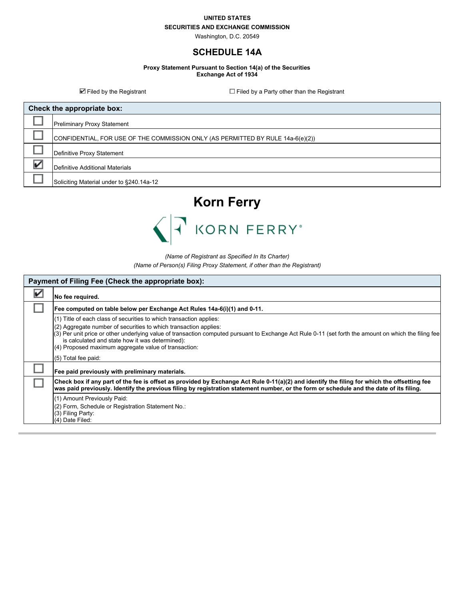#### **UNITED STATES**

## **SECURITIES AND EXCHANGE COMMISSION**

Washington, D.C. 20549

## **SCHEDULE 14A**

**Proxy Statement Pursuant to Section 14(a) of the Securities Exchange Act of 1934**

 $\blacksquare$  Filed by the Registrant Filed by a Party other than the Registrant

| Check the appropriate box: |                                                                                 |  |
|----------------------------|---------------------------------------------------------------------------------|--|
|                            | <b>Preliminary Proxy Statement</b>                                              |  |
|                            | CONFIDENTIAL, FOR USE OF THE COMMISSION ONLY (AS PERMITTED BY RULE 14a-6(e)(2)) |  |
|                            | Definitive Proxy Statement                                                      |  |
| v                          | Definitive Additional Materials                                                 |  |
|                            | Soliciting Material under to §240.14a-12                                        |  |



*(Name of Registrant as Specified In Its Charter) (Name of Person(s) Filing Proxy Statement, if other than the Registrant)*

| Payment of Filing Fee (Check the appropriate box): |                                                                                                                                                                                                                                                                                                                                                                                                             |  |  |
|----------------------------------------------------|-------------------------------------------------------------------------------------------------------------------------------------------------------------------------------------------------------------------------------------------------------------------------------------------------------------------------------------------------------------------------------------------------------------|--|--|
| V                                                  | No fee required.                                                                                                                                                                                                                                                                                                                                                                                            |  |  |
|                                                    | Fee computed on table below per Exchange Act Rules 14a-6(i)(1) and 0-11.                                                                                                                                                                                                                                                                                                                                    |  |  |
|                                                    | (1) Title of each class of securities to which transaction applies:<br>(2) Aggregate number of securities to which transaction applies:<br>(3) Per unit price or other underlying value of transaction computed pursuant to Exchange Act Rule 0-11 (set forth the amount on which the filing fee<br>is calculated and state how it was determined):<br>(4) Proposed maximum aggregate value of transaction: |  |  |
|                                                    | (5) Total fee paid:<br>Fee paid previously with preliminary materials.                                                                                                                                                                                                                                                                                                                                      |  |  |
|                                                    | Check box if any part of the fee is offset as provided by Exchange Act Rule 0-11(a)(2) and identify the filing for which the offsetting fee<br>was paid previously. Identify the previous filing by registration statement number, or the form or schedule and the date of its filing.                                                                                                                      |  |  |
|                                                    | (1) Amount Previously Paid:<br>(2) Form, Schedule or Registration Statement No.:<br>(3) Filing Party:<br>(4) Date Filed:                                                                                                                                                                                                                                                                                    |  |  |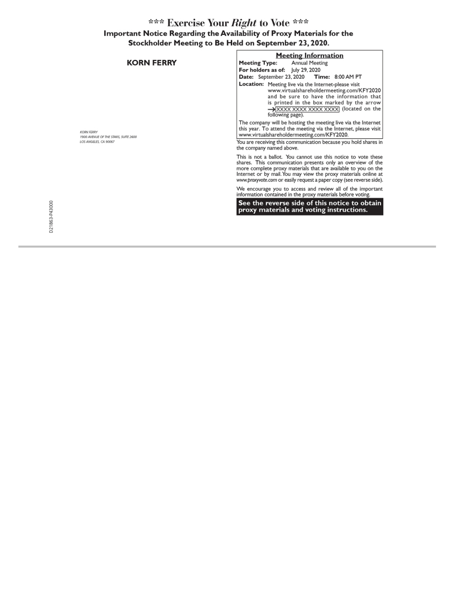# \*\*\* Exercise Your *Right* to Vote \*\*\*<br>Important Notice Regarding the Availability of Proxy Materials for the<br>Stockholder Meeting to Be Held on September 23, 2020.

|                                                           | <b>Meeting Information</b>                                                                                                                                                                                                                                                                                                                 |
|-----------------------------------------------------------|--------------------------------------------------------------------------------------------------------------------------------------------------------------------------------------------------------------------------------------------------------------------------------------------------------------------------------------------|
| <b>KORN FERRY</b>                                         | Annual Meeting<br>Meeting Type:                                                                                                                                                                                                                                                                                                            |
|                                                           | For holders as of: July 29, 2020                                                                                                                                                                                                                                                                                                           |
|                                                           | Date: September 23, 2020<br><b>Time: 8:00 AM PT</b>                                                                                                                                                                                                                                                                                        |
|                                                           | <b>Location:</b> Meeting live via the Internet-please visit<br>www.virtualshareholdermeeting.com/KFY2020<br>and be sure to have the information that<br>is printed in the box marked by the arrow<br>>XXXX XXXX XXXX XXXX (located on the<br>following page).                                                                              |
| <b>KORN FERRY</b><br>1900 AVENUE OF THE STARS, SUITE 2600 | The company will be hosting the meeting live via the Internet<br>this year. To attend the meeting via the Internet, please visit<br>www.virtualshareholdermeeting.com/KFY2020.                                                                                                                                                             |
| LOS ANGELES, CA 90067                                     | You are receiving this communication because you hold shares in<br>the company named above.                                                                                                                                                                                                                                                |
|                                                           | This is not a ballot. You cannot use this notice to vote these<br>shares. This communication presents only an overview of the<br>more complete proxy materials that are available to you on the<br>Internet or by mail. You may view the proxy materials online at<br>www.proxyvote.com or easily request a paper copy (see reverse side). |
|                                                           | We encourage you to access and review all of the important<br>information contained in the proxy materials before voting.                                                                                                                                                                                                                  |
|                                                           | See the reverse side of this notice to obtain<br>proxy materials and voting instructions.                                                                                                                                                                                                                                                  |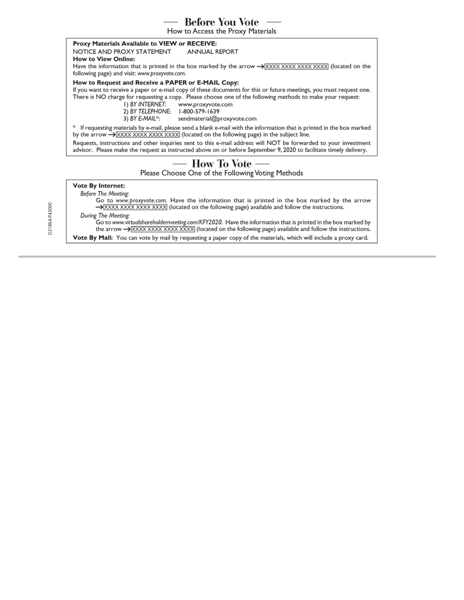## **Before You Vote** -

How to Access the Proxy Materials

### Proxy Materials Available to VIEW or RECEIVE:

NOTICE AND PROXY STATEMENT ANNUAL REPORT

**How to View Online:** 

Have the information that is printed in the box marked by the arrow  $\rightarrow$  XXXX XXXX XXXX (located on the following page) and visit: www.proxyvote.com.

## How to Request and Receive a PAPER or E-MAIL Copy:

If you want to receive a paper or e-mail copy of these documents for this or future meetings, you must request one. There is NO charge for requesting a copy. Please choose one of the following methods to make your request:

I) BY INTERNET: www.proxyvote.com

2) BY TELEPHONE: 1-800-579-1639

3) BY E-MAIL\*: sendmaterial@proxyvote.com

 $*$  If requesting materials by e-mail, please send a blank e-mail with the information that is printed in the box marked by the arrow  $\rightarrow$  XXXX XXXX XXXX XXXX (located on the following page) in the subject line.

Requests, instructions and other inquiries sent to this e-mail address will NOT be forwarded to your investment advisor. Please make the request as instructed above on or before September 9, 2020 to facilitate timely delivery.

## How To Vote -

Please Choose One of the Following Voting Methods

## **Vote By Internet:**

Before The Meeting:

Go to www.proxyvote.com. Have the information that is printed in the box marked by the arrow >XXXXXXXXXXXXXXXXXXXXX (located on the following page) available and follow the instructions.

## During The Meeting:

Go to www.virtualshareholdermeeting.com/KFY2020. Have the information that is printed in the box marked by the arrow  $\rightarrow$  XXXX XXXX XXXX XXXX (located on the following page) available and follow the instructions.

Vote By Mail: You can vote by mail by requesting a paper copy of the materials, which will include a proxy card.

D21864-P43000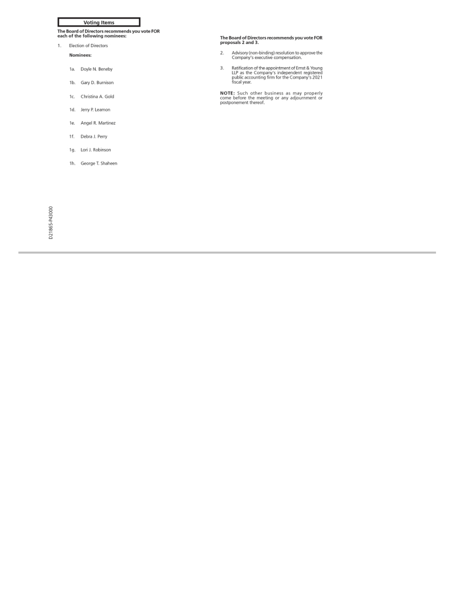## **Voting Items**

The Board of Directors recommends you vote FOR<br>each of the following nominees:

#### 1. Election of Directors

#### Nominees:

- 1a. Doyle N. Beneby
- 1b. Gary D. Burnison
- 1c. Christina A. Gold
- 1d. Jerry P. Leamon
- 1e. Angel R. Martinez
- 1f. Debra J. Perry
- 1g. Lori J. Robinson

D21865-P43000

1h. George T. Shaheen

## The Board of Directors recommends you vote FOR<br>proposals 2 and 3.

- Advisory (non-binding) resolution to approve the<br>Company's executive compensation.  $2.$
- Ratification of the appointment of Ernst & Young<br>LLP as the Company's independent registered<br>public accounting firm for the Company's 2021<br>fiscal year.  $3.$

NOTE: Such other business as may properly<br>come before the meeting or any adjournment or<br>postponement thereof.